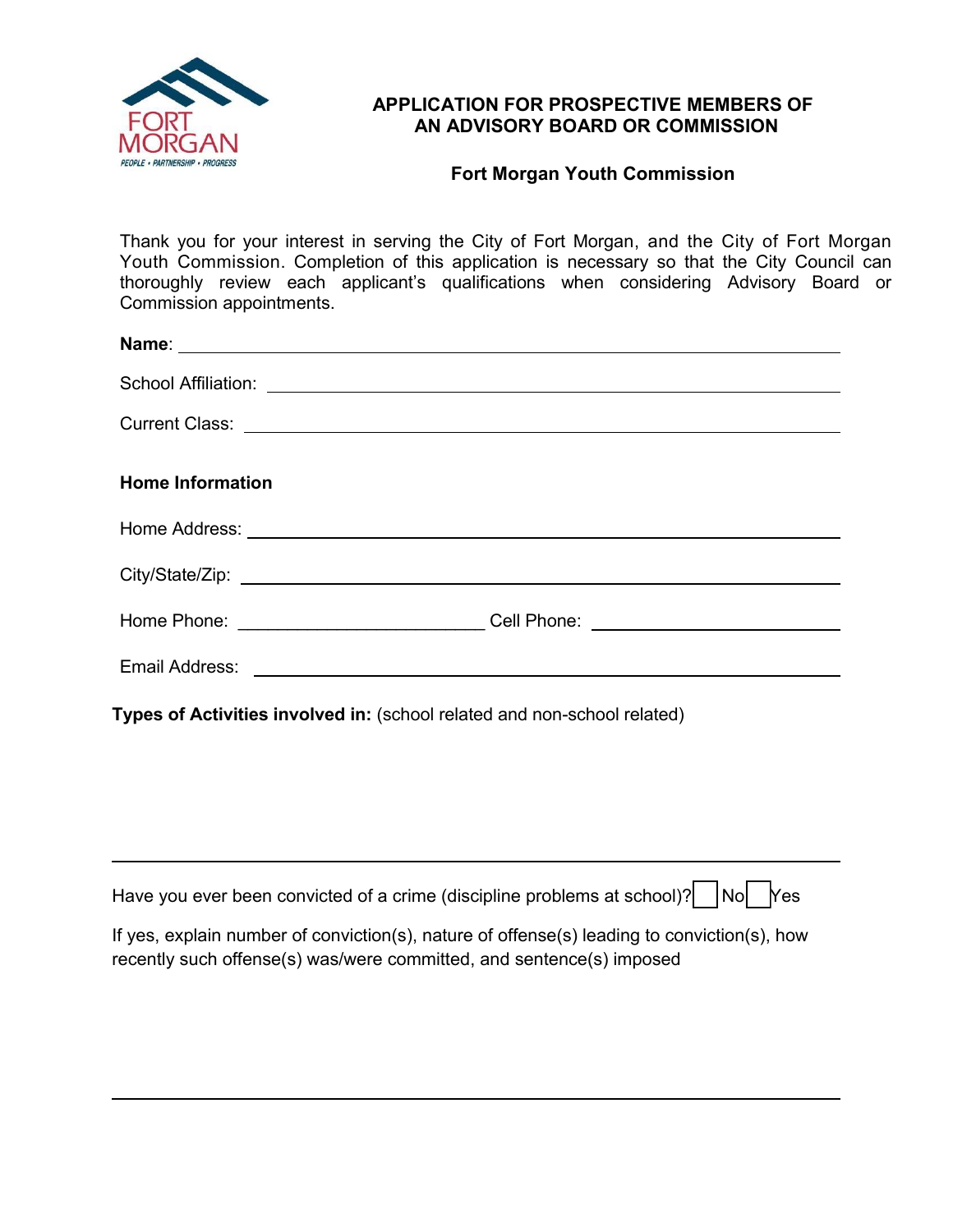

 $\overline{a}$ 

 $\overline{a}$ 

## **APPLICATION FOR PROSPECTIVE MEMBERS OF AN ADVISORY BOARD OR COMMISSION**

## **Fort Morgan Youth Commission**

Thank you for your interest in serving the City of Fort Morgan, and the City of Fort Morgan Youth Commission. Completion of this application is necessary so that the City Council can thoroughly review each applicant's qualifications when considering Advisory Board or Commission appointments.

|                                                                                    | Current Class: <u>Current Class:</u> Current Class: Current Class: Current Class: Current Class: Current Class: Current Class: Current Class: Current Class: Current Class: Current Class: Current Class: Current Class: Current Cl |
|------------------------------------------------------------------------------------|-------------------------------------------------------------------------------------------------------------------------------------------------------------------------------------------------------------------------------------|
| <b>Home Information</b>                                                            |                                                                                                                                                                                                                                     |
|                                                                                    | Home Address: Note and the set of the set of the set of the set of the set of the set of the set of the set of the set of the set of the set of the set of the set of the set of the set of the set of the set of the set of t      |
|                                                                                    |                                                                                                                                                                                                                                     |
|                                                                                    | Home Phone: ______________________________Cell Phone: __________________________                                                                                                                                                    |
|                                                                                    |                                                                                                                                                                                                                                     |
| $L_{\text{max}}$ of Activities involved in (coheel related and nep seheel related) |                                                                                                                                                                                                                                     |

**Types of Activities involved in:** (school related and non-school related)

| Have you ever been convicted of a crime (discipline problems at school)? $\bigcap_{n=1}^{\infty}$ No $\bigcap_{n=1}^{\infty}$ Yes |  |  |
|-----------------------------------------------------------------------------------------------------------------------------------|--|--|
|                                                                                                                                   |  |  |

If yes, explain number of conviction(s), nature of offense(s) leading to conviction(s), how recently such offense(s) was/were committed, and sentence(s) imposed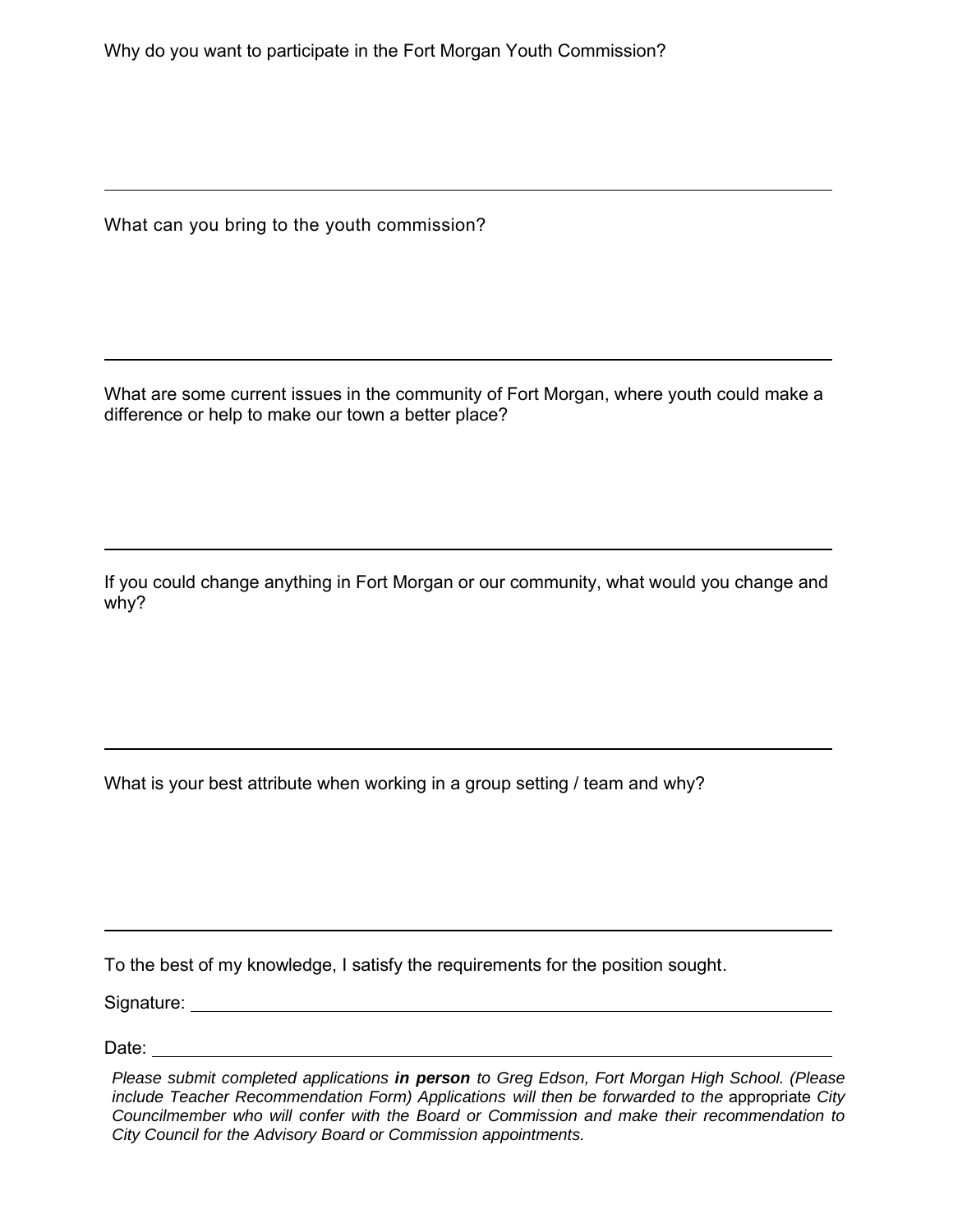What can you bring to the youth commission?

What are some current issues in the community of Fort Morgan, where youth could make a difference or help to make our town a better place?

If you could change anything in Fort Morgan or our community, what would you change and why?

What is your best attribute when working in a group setting / team and why?

To the best of my knowledge, I satisfy the requirements for the position sought.

Signature:

Date:

 $\overline{a}$ 

l

 $\overline{a}$ 

 $\overline{a}$ 

 $\overline{a}$ 

*Please submit completed applications in person to Greg Edson, Fort Morgan High School. (Please include Teacher Recommendation Form) Applications will then be forwarded to the appropriate City Councilmember who will confer with the Board or Commission and make their recommendation to City Council for the Advisory Board or Commission appointments.*